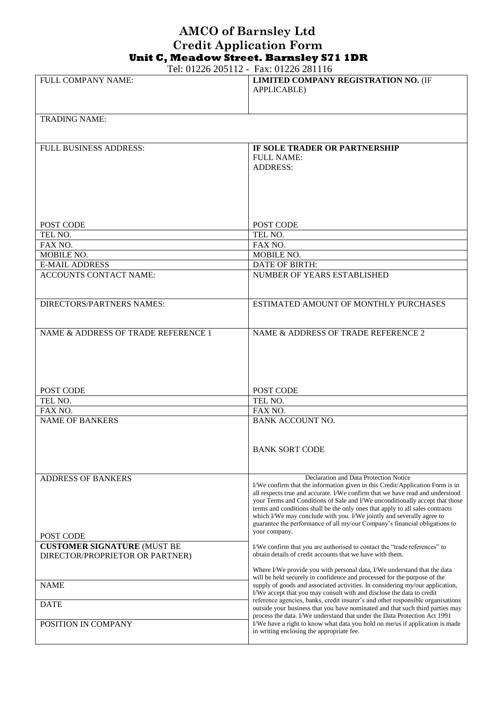## **AMCO of Barnsley Ltd Credit Application Form Unit C, Meadow Street. Barnsley S71 1DR**

Tel: 01226 205112 - Fax: 01226 281116

|                                     | 101. 01220 200112 - 1 av. 01220 201110                                                                                                                   |
|-------------------------------------|----------------------------------------------------------------------------------------------------------------------------------------------------------|
| FULL COMPANY NAME:                  | LIMITED COMPANY REGISTRATION NO. (IF                                                                                                                     |
|                                     | <b>APPLICABLE)</b>                                                                                                                                       |
|                                     |                                                                                                                                                          |
|                                     |                                                                                                                                                          |
| <b>TRADING NAME:</b>                |                                                                                                                                                          |
|                                     |                                                                                                                                                          |
|                                     |                                                                                                                                                          |
| <b>FULL BUSINESS ADDRESS:</b>       | IF SOLE TRADER OR PARTNERSHIP                                                                                                                            |
|                                     | <b>FULL NAME:</b>                                                                                                                                        |
|                                     | <b>ADDRESS:</b>                                                                                                                                          |
|                                     |                                                                                                                                                          |
|                                     |                                                                                                                                                          |
|                                     |                                                                                                                                                          |
|                                     |                                                                                                                                                          |
|                                     |                                                                                                                                                          |
| POST CODE                           | POST CODE                                                                                                                                                |
| TEL NO.                             | TEL NO.                                                                                                                                                  |
| FAX NO.                             | FAX NO.                                                                                                                                                  |
| <b>MOBILE NO.</b>                   | MOBILE NO.                                                                                                                                               |
| <b>E-MAIL ADDRESS</b>               | DATE OF BIRTH:                                                                                                                                           |
| <b>ACCOUNTS CONTACT NAME:</b>       | NUMBER OF YEARS ESTABLISHED                                                                                                                              |
|                                     |                                                                                                                                                          |
|                                     |                                                                                                                                                          |
| <b>DIRECTORS/PARTNERS NAMES:</b>    | ESTIMATED AMOUNT OF MONTHLY PURCHASES                                                                                                                    |
|                                     |                                                                                                                                                          |
|                                     |                                                                                                                                                          |
| NAME & ADDRESS OF TRADE REFERENCE 1 | NAME & ADDRESS OF TRADE REFERENCE 2                                                                                                                      |
|                                     |                                                                                                                                                          |
|                                     |                                                                                                                                                          |
|                                     |                                                                                                                                                          |
|                                     |                                                                                                                                                          |
|                                     |                                                                                                                                                          |
| POST CODE                           | POST CODE                                                                                                                                                |
| TEL NO.                             | TEL NO.                                                                                                                                                  |
| FAX NO.                             | FAX NO.                                                                                                                                                  |
| <b>NAME OF BANKERS</b>              | <b>BANK ACCOUNT NO.</b>                                                                                                                                  |
|                                     |                                                                                                                                                          |
|                                     | <b>BANK SORT CODE</b>                                                                                                                                    |
|                                     |                                                                                                                                                          |
|                                     |                                                                                                                                                          |
| <b>ADDRESS OF BANKERS</b>           | Declaration and Data Protection Notice                                                                                                                   |
|                                     | I/We confirm that the information given in this Credit/Application Form is in                                                                            |
|                                     | all respects true and accurate. I/We confirm that we have read and understood                                                                            |
|                                     | your Terms and Conditions of Sale and I/We unconditionally accept that those                                                                             |
|                                     | terms and conditions shall be the only ones that apply to all sales contracts<br>which I/We may conclude with you. I/We jointly and severally agree to   |
|                                     | guarantee the performance of all my/our Company's financial obligations to                                                                               |
| POST CODE                           | your company.                                                                                                                                            |
| <b>CUSTOMER SIGNATURE (MUST BE</b>  | I/We confirm that you are authorised to contact the "trade references" to                                                                                |
| DIRECTOR/PROPRIETOR OR PARTNER)     | obtain details of credit accounts that we have with them.                                                                                                |
|                                     |                                                                                                                                                          |
|                                     | Where I/We provide you with personal data, I/We understand that the data                                                                                 |
|                                     |                                                                                                                                                          |
|                                     | will be held securely in confidence and processed for the purpose of the                                                                                 |
| <b>NAME</b>                         | supply of goods and associated activities. In considering my/our application,                                                                            |
|                                     | I/We accept that you may consult with and disclose the data to credit<br>reference agencies, banks, credit insurer's and other responsible organisations |
| <b>DATE</b>                         | outside your business that you have nominated and that such third parties may                                                                            |
|                                     | process the data. I/We understand that under the Data Protection Act 1991                                                                                |
| POSITION IN COMPANY                 | I/We have a right to know what data you hold on me/us if application is made<br>in writing enclosing the appropriate fee.                                |